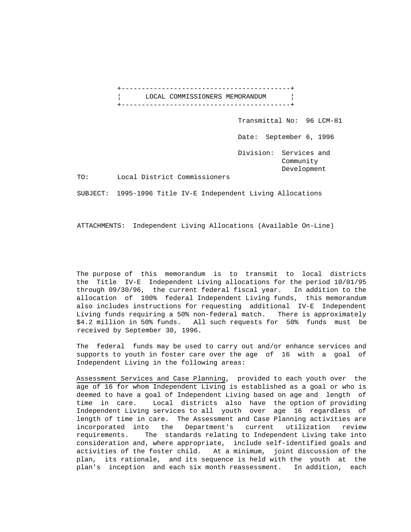+------------------------------------------+ LOCAL COMMISSIONERS MEMORANDUM | +------------------------------------------+

Transmittal No: 96 LCM-81

Date: September 6, 1996

 Division: Services and Community Development

TO: Local District Commissioners

SUBJECT: 1995-1996 Title IV-E Independent Living Allocations

ATTACHMENTS: Independent Living Allocations (Available On-Line)

 The purpose of this memorandum is to transmit to local districts the Title IV-E Independent Living allocations for the period 10/01/95 through 09/30/96, the current federal fiscal year. In addition to the allocation of 100% federal Independent Living funds, this memorandum also includes instructions for requesting additional IV-E Independent Living funds requiring a 50% non-federal match. There is approximately \$4.2 million in 50% funds. All such requests for 50% funds must be received by September 30, 1996.

 The federal funds may be used to carry out and/or enhance services and supports to youth in foster care over the age of 16 with a goal of Independent Living in the following areas:

 Assessment Services and Case Planning, provided to each youth over the age of 16 for whom Independent Living is established as a goal or who is deemed to have a goal of Independent Living based on age and length of time in care. Local districts also have the option of providing Independent Living services to all youth over age 16 regardless of length of time in care. The Assessment and Case Planning activities are incorporated into the Department's current utilization review requirements. The standards relating to Independent Living take into consideration and, where appropriate, include self-identified goals and activities of the foster child. At a minimum, joint discussion of the plan, its rationale, and its sequence is held with the youth at the plan's inception and each six month reassessment. In addition, each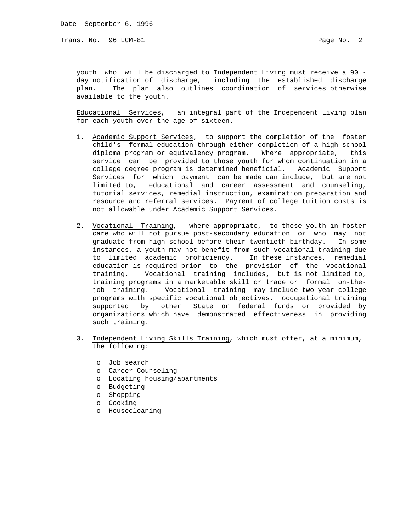Trans. No. 96 LCM-81 **Page No. 2** Page No. 2

 youth who will be discharged to Independent Living must receive a 90 day notification of discharge, including the established discharge plan. The plan also outlines coordination of services otherwise available to the youth.

\_\_\_\_\_\_\_\_\_\_\_\_\_\_\_\_\_\_\_\_\_\_\_\_\_\_\_\_\_\_\_\_\_\_\_\_\_\_\_\_\_\_\_\_\_\_\_\_\_\_\_\_\_\_\_\_\_\_\_\_\_\_\_\_\_\_\_\_\_\_\_\_\_\_\_\_\_

 Educational Services, an integral part of the Independent Living plan for each youth over the age of sixteen.

- 1. Academic Support Services, to support the completion of the foster child's formal education through either completion of a high school diploma program or equivalency program. Where appropriate, this service can be provided to those youth for whom continuation in a college degree program is determined beneficial. Academic Support Services for which payment can be made can include, but are not limited to, educational and career assessment and counseling, tutorial services, remedial instruction, examination preparation and resource and referral services. Payment of college tuition costs is not allowable under Academic Support Services.
- 2. Vocational Training, where appropriate, to those youth in foster care who will not pursue post-secondary education or who may not graduate from high school before their twentieth birthday. In some instances, a youth may not benefit from such vocational training due to limited academic proficiency. In these instances, remedial education is required prior to the provision of the vocational training. Vocational training includes, but is not limited to, training programs in a marketable skill or trade or formal on-the job training. Vocational training may include two year college programs with specific vocational objectives, occupational training supported by other State or federal funds or provided by organizations which have demonstrated effectiveness in providing such training.
- 3. Independent Living Skills Training, which must offer, at a minimum, the following:
	- o Job search
	- o Career Counseling
	- o Locating housing/apartments
	- o Budgeting
	- o Shopping
	- o Cooking
	- o Housecleaning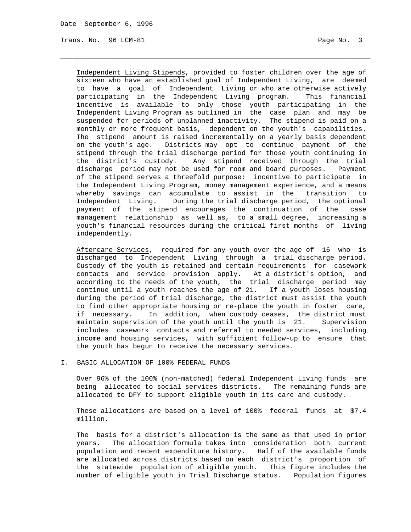Trans. No. 96 LCM-81 **Page No. 3** 

 Independent Living Stipends, provided to foster children over the age of sixteen who have an established goal of Independent Living, are deemed to have a goal of Independent Living or who are otherwise actively participating in the Independent Living program. This financial incentive is available to only those youth participating in the Independent Living Program as outlined in the case plan and may be suspended for periods of unplanned inactivity. The stipend is paid on a monthly or more frequent basis, dependent on the youth's capabilities. The stipend amount is raised incrementally on a yearly basis dependent on the youth's age. Districts may opt to continue payment of the stipend through the trial discharge period for those youth continuing in the district's custody. Any stipend received through the trial discharge period may not be used for room and board purposes. Payment of the stipend serves a threefold purpose: incentive to participate in the Independent Living Program, money management experience, and a means whereby savings can accumulate to assist in the transition to Independent Living. During the trial discharge period, the optional payment of the stipend encourages the continuation of the case management relationship as well as, to a small degree, increasing a youth's financial resources during the critical first months of living independently.

\_\_\_\_\_\_\_\_\_\_\_\_\_\_\_\_\_\_\_\_\_\_\_\_\_\_\_\_\_\_\_\_\_\_\_\_\_\_\_\_\_\_\_\_\_\_\_\_\_\_\_\_\_\_\_\_\_\_\_\_\_\_\_\_\_\_\_\_\_\_\_\_\_\_\_\_\_

 Aftercare Services, required for any youth over the age of 16 who is discharged to Independent Living through a trial discharge period. Custody of the youth is retained and certain requirements for casework contacts and service provision apply. At a district's option, and according to the needs of the youth, the trial discharge period may continue until a youth reaches the age of 21. If a youth loses housing during the period of trial discharge, the district must assist the youth to find other appropriate housing or re-place the youth in foster care, if necessary. In addition, when custody ceases, the district must maintain supervision of the youth until the youth is 21. Supervision includes casework contacts and referral to needed services, including income and housing services, with sufficient follow-up to ensure that the youth has begun to receive the necessary services.

## I. BASIC ALLOCATION OF 100% FEDERAL FUNDS

 Over 96% of the 100% (non-matched) federal Independent Living funds are being allocated to social services districts. The remaining funds are allocated to DFY to support eligible youth in its care and custody.

 These allocations are based on a level of 100% federal funds at \$7.4 million.

 The basis for a district's allocation is the same as that used in prior years. The allocation formula takes into consideration both current population and recent expenditure history. Half of the available funds are allocated across districts based on each district's proportion of the statewide population of eligible youth. This figure includes the number of eligible youth in Trial Discharge status. Population figures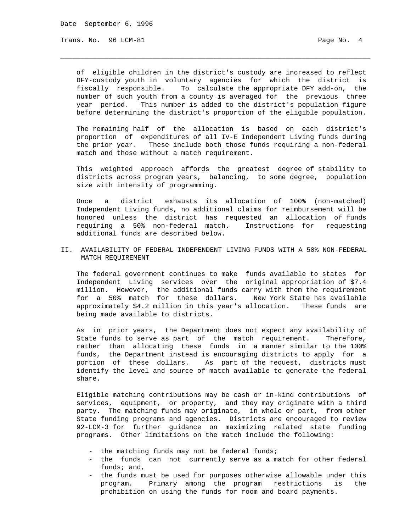Trans. No. 96 LCM-81 **Page No. 4** Page No. 4

 of eligible children in the district's custody are increased to reflect DFY-custody youth in voluntary agencies for which the district is fiscally responsible. To calculate the appropriate DFY add-on, the number of such youth from a county is averaged for the previous three year period. This number is added to the district's population figure before determining the district's proportion of the eligible population.

\_\_\_\_\_\_\_\_\_\_\_\_\_\_\_\_\_\_\_\_\_\_\_\_\_\_\_\_\_\_\_\_\_\_\_\_\_\_\_\_\_\_\_\_\_\_\_\_\_\_\_\_\_\_\_\_\_\_\_\_\_\_\_\_\_\_\_\_\_\_\_\_\_\_\_\_\_

 The remaining half of the allocation is based on each district's proportion of expenditures of all IV-E Independent Living funds during the prior year. These include both those funds requiring a non-federal match and those without a match requirement.

 This weighted approach affords the greatest degree of stability to districts across program years, balancing, to some degree, population size with intensity of programming.

 Once a district exhausts its allocation of 100% (non-matched) Independent Living funds, no additional claims for reimbursement will be honored unless the district has requested an allocation of funds requiring a 50% non-federal match. Instructions for requesting additional funds are described below.

II. AVAILABILITY OF FEDERAL INDEPENDENT LIVING FUNDS WITH A 50% NON-FEDERAL MATCH REQUIREMENT

 The federal government continues to make funds available to states for Independent Living services over the original appropriation of \$7.4 million. However, the additional funds carry with them the requirement for a 50% match for these dollars. New York State has available approximately \$4.2 million in this year's allocation. These funds are being made available to districts.

 As in prior years, the Department does not expect any availability of State funds to serve as part of the match requirement. Therefore, rather than allocating these funds in a manner similar to the 100% funds, the Department instead is encouraging districts to apply for a portion of these dollars. As part of the request, districts must identify the level and source of match available to generate the federal share.

 Eligible matching contributions may be cash or in-kind contributions of services, equipment, or property, and they may originate with a third party. The matching funds may originate, in whole or part, from other State funding programs and agencies. Districts are encouraged to review 92-LCM-3 for further guidance on maximizing related state funding programs. Other limitations on the match include the following:

- the matching funds may not be federal funds;
- the funds can not currently serve as a match for other federal funds; and,
- the funds must be used for purposes otherwise allowable under this program. Primary among the program restrictions is the prohibition on using the funds for room and board payments.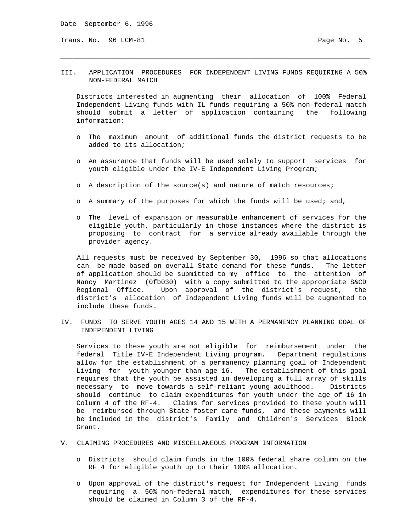Trans. No. 96 LCM-81 **Page No. 5** Page No. 5

III. APPLICATION PROCEDURES FOR INDEPENDENT LIVING FUNDS REQUIRING A 50% NON-FEDERAL MATCH

\_\_\_\_\_\_\_\_\_\_\_\_\_\_\_\_\_\_\_\_\_\_\_\_\_\_\_\_\_\_\_\_\_\_\_\_\_\_\_\_\_\_\_\_\_\_\_\_\_\_\_\_\_\_\_\_\_\_\_\_\_\_\_\_\_\_\_\_\_\_\_\_\_\_\_\_\_

 Districts interested in augmenting their allocation of 100% Federal Independent Living funds with IL funds requiring a 50% non-federal match should submit a letter of application containing the following information:

- o The maximum amount of additional funds the district requests to be added to its allocation;
- o An assurance that funds will be used solely to support services for youth eligible under the IV-E Independent Living Program;
- o A description of the source(s) and nature of match resources;
- o A summary of the purposes for which the funds will be used; and,
- o The level of expansion or measurable enhancement of services for the eligible youth, particularly in those instances where the district is proposing to contract for a service already available through the provider agency.

 All requests must be received by September 30, 1996 so that allocations can be made based on overall State demand for these funds. The letter of application should be submitted to my office to the attention of Nancy Martinez (0fb030) with a copy submitted to the appropriate S&CD Regional Office. Upon approval of the district's request, the district's allocation of Independent Living funds will be augmented to include these funds.

IV. FUNDS TO SERVE YOUTH AGES 14 AND 15 WITH A PERMANENCY PLANNING GOAL OF INDEPENDENT LIVING

 Services to these youth are not eligible for reimbursement under the federal Title IV-E Independent Living program. Department regulations allow for the establishment of a permanency planning goal of Independent Living for youth younger than age 16. The establishment of this goal requires that the youth be assisted in developing a full array of skills necessary to move towards a self-reliant young adulthood. Districts should continue to claim expenditures for youth under the age of 16 in Column 4 of the RF-4. Claims for services provided to these youth will be reimbursed through State foster care funds, and these payments will be included in the district's Family and Children's Services Block Grant.

- V. CLAIMING PROCEDURES AND MISCELLANEOUS PROGRAM INFORMATION
	- o Districts should claim funds in the 100% federal share column on the RF 4 for eligible youth up to their 100% allocation.
	- o Upon approval of the district's request for Independent Living funds requiring a 50% non-federal match, expenditures for these services should be claimed in Column 3 of the RF-4.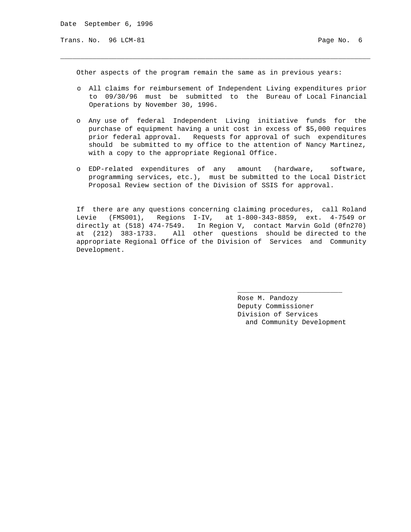Trans. No. 96 LCM-81 **Page No. 6** Page No. 6

Other aspects of the program remain the same as in previous years:

\_\_\_\_\_\_\_\_\_\_\_\_\_\_\_\_\_\_\_\_\_\_\_\_\_\_\_\_\_\_\_\_\_\_\_\_\_\_\_\_\_\_\_\_\_\_\_\_\_\_\_\_\_\_\_\_\_\_\_\_\_\_\_\_\_\_\_\_\_\_\_\_\_\_\_\_\_

- o All claims for reimbursement of Independent Living expenditures prior to 09/30/96 must be submitted to the Bureau of Local Financial Operations by November 30, 1996.
- o Any use of federal Independent Living initiative funds for the purchase of equipment having a unit cost in excess of \$5,000 requires prior federal approval. Requests for approval of such expenditures should be submitted to my office to the attention of Nancy Martinez, with a copy to the appropriate Regional Office.
- o EDP-related expenditures of any amount (hardware, software, programming services, etc.), must be submitted to the Local District Proposal Review section of the Division of SSIS for approval.

 If there are any questions concerning claiming procedures, call Roland Levie (FMS001), Regions I-IV, at 1-800-343-8859, ext. 4-7549 or directly at (518) 474-7549. In Region V, contact Marvin Gold (0fn270) at (212) 383-1733. All other questions should be directed to the appropriate Regional Office of the Division of Services and Community Development.

 $\overline{\phantom{a}}$  , and the state of the state of the state of the state of the state of the state of the state of the state of the state of the state of the state of the state of the state of the state of the state of the stat

 Rose M. Pandozy Deputy Commissioner Division of Services and Community Development